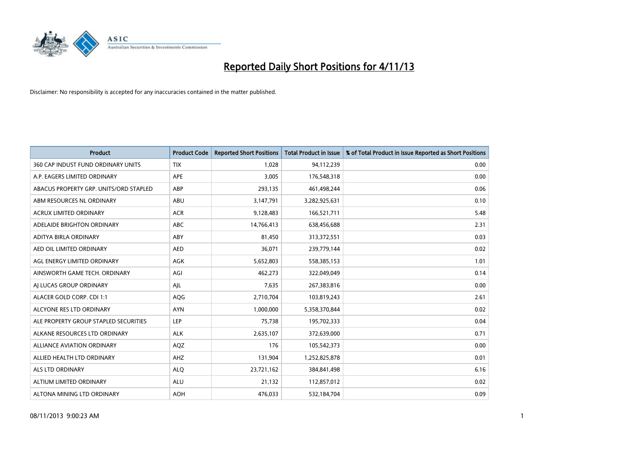

| <b>Product</b>                         | <b>Product Code</b> | <b>Reported Short Positions</b> | <b>Total Product in Issue</b> | % of Total Product in Issue Reported as Short Positions |
|----------------------------------------|---------------------|---------------------------------|-------------------------------|---------------------------------------------------------|
| 360 CAP INDUST FUND ORDINARY UNITS     | <b>TIX</b>          | 1,028                           | 94,112,239                    | 0.00                                                    |
| A.P. EAGERS LIMITED ORDINARY           | APE                 | 3,005                           | 176,548,318                   | 0.00                                                    |
| ABACUS PROPERTY GRP. UNITS/ORD STAPLED | ABP                 | 293,135                         | 461,498,244                   | 0.06                                                    |
| ABM RESOURCES NL ORDINARY              | ABU                 | 3,147,791                       | 3,282,925,631                 | 0.10                                                    |
| <b>ACRUX LIMITED ORDINARY</b>          | <b>ACR</b>          | 9,128,483                       | 166,521,711                   | 5.48                                                    |
| ADELAIDE BRIGHTON ORDINARY             | <b>ABC</b>          | 14,766,413                      | 638,456,688                   | 2.31                                                    |
| ADITYA BIRLA ORDINARY                  | ABY                 | 81,450                          | 313,372,551                   | 0.03                                                    |
| AED OIL LIMITED ORDINARY               | <b>AED</b>          | 36,071                          | 239,779,144                   | 0.02                                                    |
| AGL ENERGY LIMITED ORDINARY            | <b>AGK</b>          | 5,652,803                       | 558,385,153                   | 1.01                                                    |
| AINSWORTH GAME TECH. ORDINARY          | AGI                 | 462,273                         | 322,049,049                   | 0.14                                                    |
| AI LUCAS GROUP ORDINARY                | AJL                 | 7,635                           | 267,383,816                   | 0.00                                                    |
| ALACER GOLD CORP. CDI 1:1              | AQG                 | 2,710,704                       | 103,819,243                   | 2.61                                                    |
| ALCYONE RES LTD ORDINARY               | <b>AYN</b>          | 1,000,000                       | 5,358,370,844                 | 0.02                                                    |
| ALE PROPERTY GROUP STAPLED SECURITIES  | LEP                 | 75,738                          | 195,702,333                   | 0.04                                                    |
| ALKANE RESOURCES LTD ORDINARY          | <b>ALK</b>          | 2,635,107                       | 372,639,000                   | 0.71                                                    |
| ALLIANCE AVIATION ORDINARY             | AQZ                 | 176                             | 105,542,373                   | 0.00                                                    |
| ALLIED HEALTH LTD ORDINARY             | AHZ                 | 131,904                         | 1,252,825,878                 | 0.01                                                    |
| <b>ALS LTD ORDINARY</b>                | <b>ALQ</b>          | 23,721,162                      | 384, 841, 498                 | 6.16                                                    |
| ALTIUM LIMITED ORDINARY                | <b>ALU</b>          | 21,132                          | 112,857,012                   | 0.02                                                    |
| ALTONA MINING LTD ORDINARY             | <b>AOH</b>          | 476,033                         | 532,184,704                   | 0.09                                                    |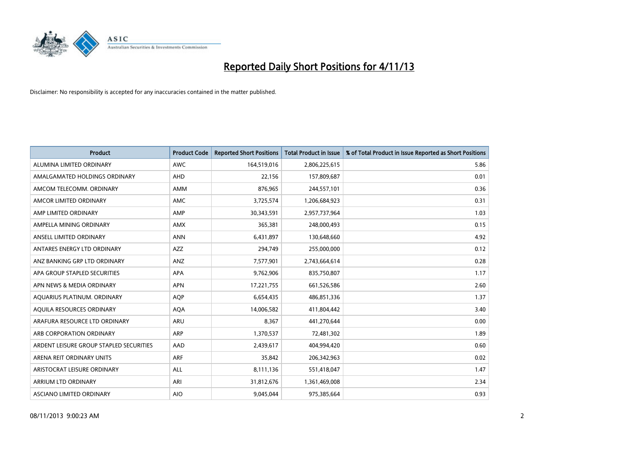

| <b>Product</b>                          | <b>Product Code</b> | <b>Reported Short Positions</b> | <b>Total Product in Issue</b> | % of Total Product in Issue Reported as Short Positions |
|-----------------------------------------|---------------------|---------------------------------|-------------------------------|---------------------------------------------------------|
| ALUMINA LIMITED ORDINARY                | <b>AWC</b>          | 164,519,016                     | 2,806,225,615                 | 5.86                                                    |
| AMALGAMATED HOLDINGS ORDINARY           | AHD                 | 22,156                          | 157,809,687                   | 0.01                                                    |
| AMCOM TELECOMM, ORDINARY                | AMM                 | 876,965                         | 244,557,101                   | 0.36                                                    |
| AMCOR LIMITED ORDINARY                  | AMC                 | 3,725,574                       | 1,206,684,923                 | 0.31                                                    |
| AMP LIMITED ORDINARY                    | AMP                 | 30,343,591                      | 2,957,737,964                 | 1.03                                                    |
| AMPELLA MINING ORDINARY                 | AMX                 | 365,381                         | 248,000,493                   | 0.15                                                    |
| ANSELL LIMITED ORDINARY                 | <b>ANN</b>          | 6,431,897                       | 130,648,660                   | 4.92                                                    |
| ANTARES ENERGY LTD ORDINARY             | AZZ                 | 294,749                         | 255,000,000                   | 0.12                                                    |
| ANZ BANKING GRP LTD ORDINARY            | ANZ                 | 7,577,901                       | 2,743,664,614                 | 0.28                                                    |
| APA GROUP STAPLED SECURITIES            | <b>APA</b>          | 9,762,906                       | 835,750,807                   | 1.17                                                    |
| APN NEWS & MEDIA ORDINARY               | <b>APN</b>          | 17,221,755                      | 661,526,586                   | 2.60                                                    |
| AQUARIUS PLATINUM. ORDINARY             | AQP                 | 6,654,435                       | 486,851,336                   | 1.37                                                    |
| AQUILA RESOURCES ORDINARY               | <b>AQA</b>          | 14,006,582                      | 411,804,442                   | 3.40                                                    |
| ARAFURA RESOURCE LTD ORDINARY           | <b>ARU</b>          | 8,367                           | 441,270,644                   | 0.00                                                    |
| ARB CORPORATION ORDINARY                | ARP                 | 1,370,537                       | 72,481,302                    | 1.89                                                    |
| ARDENT LEISURE GROUP STAPLED SECURITIES | <b>AAD</b>          | 2,439,617                       | 404,994,420                   | 0.60                                                    |
| ARENA REIT ORDINARY UNITS               | <b>ARF</b>          | 35,842                          | 206,342,963                   | 0.02                                                    |
| ARISTOCRAT LEISURE ORDINARY             | ALL                 | 8,111,136                       | 551,418,047                   | 1.47                                                    |
| ARRIUM LTD ORDINARY                     | ARI                 | 31,812,676                      | 1,361,469,008                 | 2.34                                                    |
| ASCIANO LIMITED ORDINARY                | <b>AIO</b>          | 9,045,044                       | 975,385,664                   | 0.93                                                    |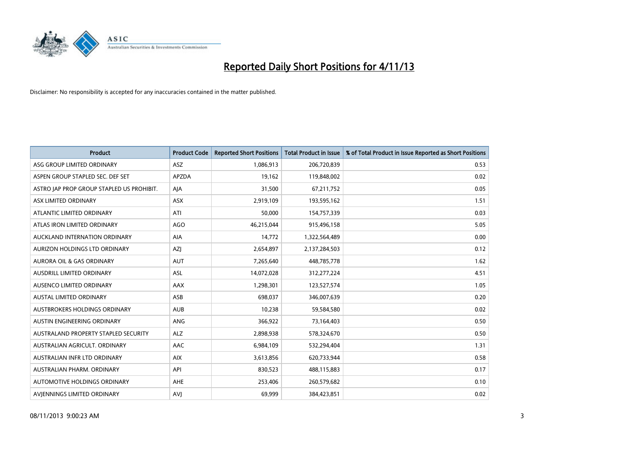

| <b>Product</b>                            | <b>Product Code</b> | <b>Reported Short Positions</b> | <b>Total Product in Issue</b> | % of Total Product in Issue Reported as Short Positions |
|-------------------------------------------|---------------------|---------------------------------|-------------------------------|---------------------------------------------------------|
| ASG GROUP LIMITED ORDINARY                | <b>ASZ</b>          | 1,086,913                       | 206,720,839                   | 0.53                                                    |
| ASPEN GROUP STAPLED SEC. DEF SET          | <b>APZDA</b>        | 19,162                          | 119,848,002                   | 0.02                                                    |
| ASTRO JAP PROP GROUP STAPLED US PROHIBIT. | AJA                 | 31,500                          | 67,211,752                    | 0.05                                                    |
| ASX LIMITED ORDINARY                      | ASX                 | 2,919,109                       | 193,595,162                   | 1.51                                                    |
| ATLANTIC LIMITED ORDINARY                 | ATI                 | 50,000                          | 154,757,339                   | 0.03                                                    |
| ATLAS IRON LIMITED ORDINARY               | <b>AGO</b>          | 46,215,044                      | 915,496,158                   | 5.05                                                    |
| AUCKLAND INTERNATION ORDINARY             | AIA                 | 14,772                          | 1,322,564,489                 | 0.00                                                    |
| AURIZON HOLDINGS LTD ORDINARY             | AZJ                 | 2,654,897                       | 2,137,284,503                 | 0.12                                                    |
| <b>AURORA OIL &amp; GAS ORDINARY</b>      | <b>AUT</b>          | 7,265,640                       | 448,785,778                   | 1.62                                                    |
| AUSDRILL LIMITED ORDINARY                 | ASL                 | 14,072,028                      | 312,277,224                   | 4.51                                                    |
| AUSENCO LIMITED ORDINARY                  | AAX                 | 1,298,301                       | 123,527,574                   | 1.05                                                    |
| <b>AUSTAL LIMITED ORDINARY</b>            | ASB                 | 698,037                         | 346,007,639                   | 0.20                                                    |
| AUSTBROKERS HOLDINGS ORDINARY             | <b>AUB</b>          | 10,238                          | 59,584,580                    | 0.02                                                    |
| AUSTIN ENGINEERING ORDINARY               | ANG                 | 366,922                         | 73,164,403                    | 0.50                                                    |
| AUSTRALAND PROPERTY STAPLED SECURITY      | <b>ALZ</b>          | 2,898,938                       | 578,324,670                   | 0.50                                                    |
| AUSTRALIAN AGRICULT. ORDINARY             | AAC                 | 6,984,109                       | 532,294,404                   | 1.31                                                    |
| AUSTRALIAN INFR LTD ORDINARY              | <b>AIX</b>          | 3,613,856                       | 620,733,944                   | 0.58                                                    |
| AUSTRALIAN PHARM, ORDINARY                | API                 | 830,523                         | 488,115,883                   | 0.17                                                    |
| AUTOMOTIVE HOLDINGS ORDINARY              | <b>AHE</b>          | 253,406                         | 260,579,682                   | 0.10                                                    |
| AVIENNINGS LIMITED ORDINARY               | <b>AVJ</b>          | 69,999                          | 384,423,851                   | 0.02                                                    |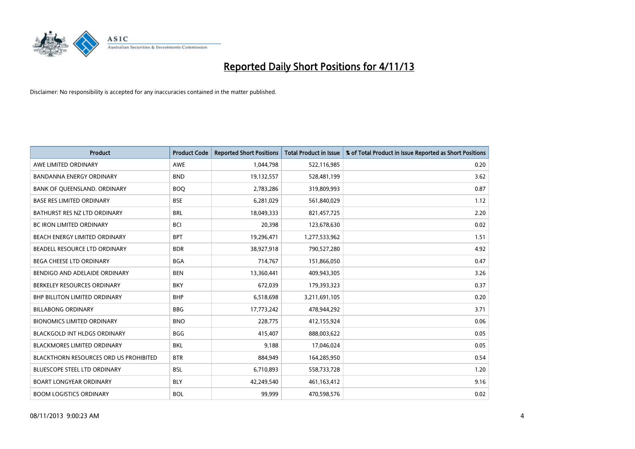

| <b>Product</b>                                | <b>Product Code</b> | <b>Reported Short Positions</b> | <b>Total Product in Issue</b> | % of Total Product in Issue Reported as Short Positions |
|-----------------------------------------------|---------------------|---------------------------------|-------------------------------|---------------------------------------------------------|
| AWE LIMITED ORDINARY                          | AWE                 | 1,044,798                       | 522,116,985                   | 0.20                                                    |
| BANDANNA ENERGY ORDINARY                      | <b>BND</b>          | 19,132,557                      | 528,481,199                   | 3.62                                                    |
| BANK OF QUEENSLAND. ORDINARY                  | <b>BOQ</b>          | 2,783,286                       | 319,809,993                   | 0.87                                                    |
| <b>BASE RES LIMITED ORDINARY</b>              | <b>BSE</b>          | 6,281,029                       | 561,840,029                   | 1.12                                                    |
| BATHURST RES NZ LTD ORDINARY                  | <b>BRL</b>          | 18,049,333                      | 821,457,725                   | 2.20                                                    |
| <b>BC IRON LIMITED ORDINARY</b>               | <b>BCI</b>          | 20,398                          | 123,678,630                   | 0.02                                                    |
| BEACH ENERGY LIMITED ORDINARY                 | <b>BPT</b>          | 19,296,471                      | 1,277,533,962                 | 1.51                                                    |
| BEADELL RESOURCE LTD ORDINARY                 | <b>BDR</b>          | 38,927,918                      | 790,527,280                   | 4.92                                                    |
| BEGA CHEESE LTD ORDINARY                      | <b>BGA</b>          | 714,767                         | 151,866,050                   | 0.47                                                    |
| BENDIGO AND ADELAIDE ORDINARY                 | <b>BEN</b>          | 13,360,441                      | 409,943,305                   | 3.26                                                    |
| BERKELEY RESOURCES ORDINARY                   | <b>BKY</b>          | 672,039                         | 179,393,323                   | 0.37                                                    |
| <b>BHP BILLITON LIMITED ORDINARY</b>          | <b>BHP</b>          | 6,518,698                       | 3,211,691,105                 | 0.20                                                    |
| <b>BILLABONG ORDINARY</b>                     | <b>BBG</b>          | 17,773,242                      | 478,944,292                   | 3.71                                                    |
| <b>BIONOMICS LIMITED ORDINARY</b>             | <b>BNO</b>          | 228,775                         | 412,155,924                   | 0.06                                                    |
| <b>BLACKGOLD INT HLDGS ORDINARY</b>           | <b>BGG</b>          | 415,407                         | 888,003,622                   | 0.05                                                    |
| <b>BLACKMORES LIMITED ORDINARY</b>            | <b>BKL</b>          | 9.188                           | 17,046,024                    | 0.05                                                    |
| <b>BLACKTHORN RESOURCES ORD US PROHIBITED</b> | <b>BTR</b>          | 884,949                         | 164,285,950                   | 0.54                                                    |
| BLUESCOPE STEEL LTD ORDINARY                  | <b>BSL</b>          | 6,710,893                       | 558,733,728                   | 1.20                                                    |
| <b>BOART LONGYEAR ORDINARY</b>                | <b>BLY</b>          | 42,249,540                      | 461,163,412                   | 9.16                                                    |
| <b>BOOM LOGISTICS ORDINARY</b>                | <b>BOL</b>          | 99,999                          | 470,598,576                   | 0.02                                                    |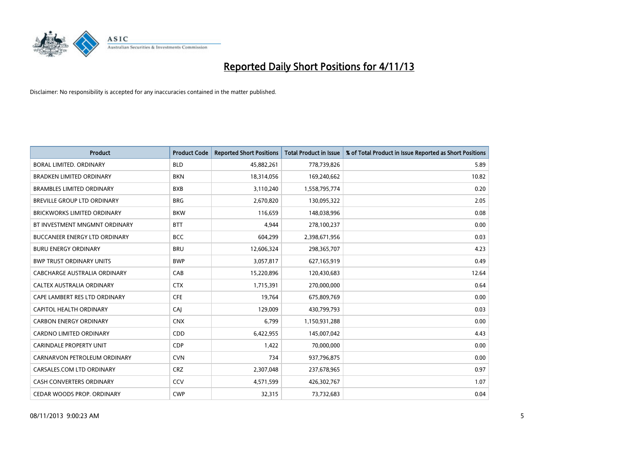

| <b>Product</b>                       | <b>Product Code</b> | <b>Reported Short Positions</b> | <b>Total Product in Issue</b> | % of Total Product in Issue Reported as Short Positions |
|--------------------------------------|---------------------|---------------------------------|-------------------------------|---------------------------------------------------------|
| <b>BORAL LIMITED, ORDINARY</b>       | <b>BLD</b>          | 45,882,261                      | 778,739,826                   | 5.89                                                    |
| <b>BRADKEN LIMITED ORDINARY</b>      | <b>BKN</b>          | 18,314,056                      | 169,240,662                   | 10.82                                                   |
| <b>BRAMBLES LIMITED ORDINARY</b>     | <b>BXB</b>          | 3,110,240                       | 1,558,795,774                 | 0.20                                                    |
| BREVILLE GROUP LTD ORDINARY          | <b>BRG</b>          | 2,670,820                       | 130,095,322                   | 2.05                                                    |
| <b>BRICKWORKS LIMITED ORDINARY</b>   | <b>BKW</b>          | 116,659                         | 148,038,996                   | 0.08                                                    |
| BT INVESTMENT MNGMNT ORDINARY        | <b>BTT</b>          | 4,944                           | 278,100,237                   | 0.00                                                    |
| <b>BUCCANEER ENERGY LTD ORDINARY</b> | <b>BCC</b>          | 604,299                         | 2,398,671,956                 | 0.03                                                    |
| <b>BURU ENERGY ORDINARY</b>          | <b>BRU</b>          | 12,606,324                      | 298,365,707                   | 4.23                                                    |
| <b>BWP TRUST ORDINARY UNITS</b>      | <b>BWP</b>          | 3,057,817                       | 627,165,919                   | 0.49                                                    |
| CABCHARGE AUSTRALIA ORDINARY         | CAB                 | 15,220,896                      | 120,430,683                   | 12.64                                                   |
| CALTEX AUSTRALIA ORDINARY            | <b>CTX</b>          | 1,715,391                       | 270,000,000                   | 0.64                                                    |
| CAPE LAMBERT RES LTD ORDINARY        | <b>CFE</b>          | 19,764                          | 675,809,769                   | 0.00                                                    |
| CAPITOL HEALTH ORDINARY              | CAJ                 | 129,009                         | 430,799,793                   | 0.03                                                    |
| <b>CARBON ENERGY ORDINARY</b>        | <b>CNX</b>          | 6,799                           | 1,150,931,288                 | 0.00                                                    |
| <b>CARDNO LIMITED ORDINARY</b>       | CDD                 | 6,422,955                       | 145,007,042                   | 4.43                                                    |
| CARINDALE PROPERTY UNIT              | <b>CDP</b>          | 1,422                           | 70,000,000                    | 0.00                                                    |
| CARNARVON PETROLEUM ORDINARY         | <b>CVN</b>          | 734                             | 937,796,875                   | 0.00                                                    |
| CARSALES.COM LTD ORDINARY            | <b>CRZ</b>          | 2,307,048                       | 237,678,965                   | 0.97                                                    |
| <b>CASH CONVERTERS ORDINARY</b>      | CCV                 | 4,571,599                       | 426,302,767                   | 1.07                                                    |
| CEDAR WOODS PROP. ORDINARY           | <b>CWP</b>          | 32,315                          | 73,732,683                    | 0.04                                                    |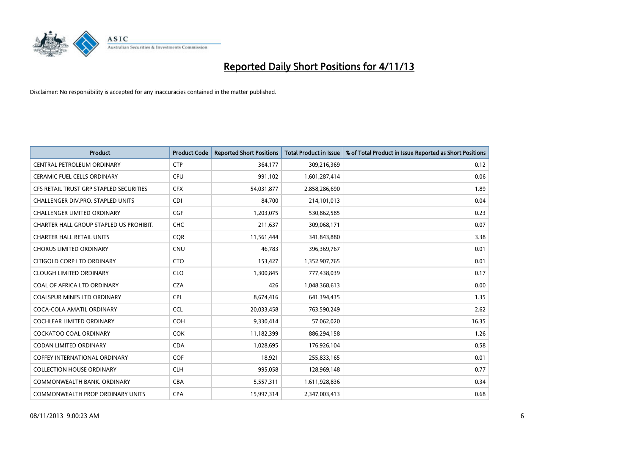

| <b>Product</b>                          | <b>Product Code</b> | <b>Reported Short Positions</b> | <b>Total Product in Issue</b> | % of Total Product in Issue Reported as Short Positions |
|-----------------------------------------|---------------------|---------------------------------|-------------------------------|---------------------------------------------------------|
| CENTRAL PETROLEUM ORDINARY              | <b>CTP</b>          | 364,177                         | 309,216,369                   | 0.12                                                    |
| <b>CERAMIC FUEL CELLS ORDINARY</b>      | <b>CFU</b>          | 991,102                         | 1,601,287,414                 | 0.06                                                    |
| CFS RETAIL TRUST GRP STAPLED SECURITIES | <b>CFX</b>          | 54,031,877                      | 2,858,286,690                 | 1.89                                                    |
| CHALLENGER DIV.PRO. STAPLED UNITS       | <b>CDI</b>          | 84,700                          | 214,101,013                   | 0.04                                                    |
| <b>CHALLENGER LIMITED ORDINARY</b>      | <b>CGF</b>          | 1,203,075                       | 530,862,585                   | 0.23                                                    |
| CHARTER HALL GROUP STAPLED US PROHIBIT. | <b>CHC</b>          | 211,637                         | 309,068,171                   | 0.07                                                    |
| <b>CHARTER HALL RETAIL UNITS</b>        | <b>COR</b>          | 11,561,444                      | 341,843,880                   | 3.38                                                    |
| <b>CHORUS LIMITED ORDINARY</b>          | <b>CNU</b>          | 46,783                          | 396,369,767                   | 0.01                                                    |
| CITIGOLD CORP LTD ORDINARY              | <b>CTO</b>          | 153,427                         | 1,352,907,765                 | 0.01                                                    |
| <b>CLOUGH LIMITED ORDINARY</b>          | <b>CLO</b>          | 1,300,845                       | 777,438,039                   | 0.17                                                    |
| COAL OF AFRICA LTD ORDINARY             | <b>CZA</b>          | 426                             | 1,048,368,613                 | 0.00                                                    |
| <b>COALSPUR MINES LTD ORDINARY</b>      | <b>CPL</b>          | 8,674,416                       | 641,394,435                   | 1.35                                                    |
| COCA-COLA AMATIL ORDINARY               | <b>CCL</b>          | 20,033,458                      | 763,590,249                   | 2.62                                                    |
| <b>COCHLEAR LIMITED ORDINARY</b>        | <b>COH</b>          | 9,330,414                       | 57,062,020                    | 16.35                                                   |
| <b>COCKATOO COAL ORDINARY</b>           | <b>COK</b>          | 11,182,399                      | 886,294,158                   | 1.26                                                    |
| <b>CODAN LIMITED ORDINARY</b>           | <b>CDA</b>          | 1,028,695                       | 176,926,104                   | 0.58                                                    |
| <b>COFFEY INTERNATIONAL ORDINARY</b>    | <b>COF</b>          | 18,921                          | 255,833,165                   | 0.01                                                    |
| <b>COLLECTION HOUSE ORDINARY</b>        | <b>CLH</b>          | 995,058                         | 128,969,148                   | 0.77                                                    |
| COMMONWEALTH BANK, ORDINARY             | <b>CBA</b>          | 5,557,311                       | 1,611,928,836                 | 0.34                                                    |
| COMMONWEALTH PROP ORDINARY UNITS        | <b>CPA</b>          | 15,997,314                      | 2,347,003,413                 | 0.68                                                    |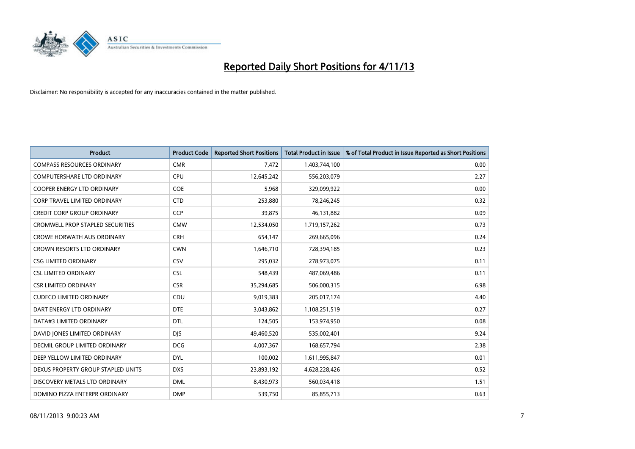

| <b>Product</b>                          | <b>Product Code</b> | <b>Reported Short Positions</b> | <b>Total Product in Issue</b> | % of Total Product in Issue Reported as Short Positions |
|-----------------------------------------|---------------------|---------------------------------|-------------------------------|---------------------------------------------------------|
| <b>COMPASS RESOURCES ORDINARY</b>       | <b>CMR</b>          | 7,472                           | 1,403,744,100                 | 0.00                                                    |
| COMPUTERSHARE LTD ORDINARY              | <b>CPU</b>          | 12,645,242                      | 556,203,079                   | 2.27                                                    |
| <b>COOPER ENERGY LTD ORDINARY</b>       | <b>COE</b>          | 5,968                           | 329,099,922                   | 0.00                                                    |
| <b>CORP TRAVEL LIMITED ORDINARY</b>     | <b>CTD</b>          | 253,880                         | 78,246,245                    | 0.32                                                    |
| <b>CREDIT CORP GROUP ORDINARY</b>       | <b>CCP</b>          | 39,875                          | 46,131,882                    | 0.09                                                    |
| <b>CROMWELL PROP STAPLED SECURITIES</b> | <b>CMW</b>          | 12,534,050                      | 1,719,157,262                 | 0.73                                                    |
| <b>CROWE HORWATH AUS ORDINARY</b>       | <b>CRH</b>          | 654,147                         | 269,665,096                   | 0.24                                                    |
| CROWN RESORTS LTD ORDINARY              | <b>CWN</b>          | 1,646,710                       | 728,394,185                   | 0.23                                                    |
| <b>CSG LIMITED ORDINARY</b>             | CSV                 | 295,032                         | 278,973,075                   | 0.11                                                    |
| <b>CSL LIMITED ORDINARY</b>             | <b>CSL</b>          | 548,439                         | 487,069,486                   | 0.11                                                    |
| <b>CSR LIMITED ORDINARY</b>             | <b>CSR</b>          | 35,294,685                      | 506,000,315                   | 6.98                                                    |
| <b>CUDECO LIMITED ORDINARY</b>          | CDU                 | 9,019,383                       | 205,017,174                   | 4.40                                                    |
| DART ENERGY LTD ORDINARY                | <b>DTE</b>          | 3,043,862                       | 1,108,251,519                 | 0.27                                                    |
| DATA#3 LIMITED ORDINARY                 | <b>DTL</b>          | 124,505                         | 153,974,950                   | 0.08                                                    |
| DAVID JONES LIMITED ORDINARY            | <b>DJS</b>          | 49,460,520                      | 535,002,401                   | 9.24                                                    |
| DECMIL GROUP LIMITED ORDINARY           | <b>DCG</b>          | 4,007,367                       | 168,657,794                   | 2.38                                                    |
| DEEP YELLOW LIMITED ORDINARY            | DYL                 | 100,002                         | 1,611,995,847                 | 0.01                                                    |
| DEXUS PROPERTY GROUP STAPLED UNITS      | <b>DXS</b>          | 23,893,192                      | 4,628,228,426                 | 0.52                                                    |
| DISCOVERY METALS LTD ORDINARY           | <b>DML</b>          | 8,430,973                       | 560,034,418                   | 1.51                                                    |
| DOMINO PIZZA ENTERPR ORDINARY           | <b>DMP</b>          | 539,750                         | 85,855,713                    | 0.63                                                    |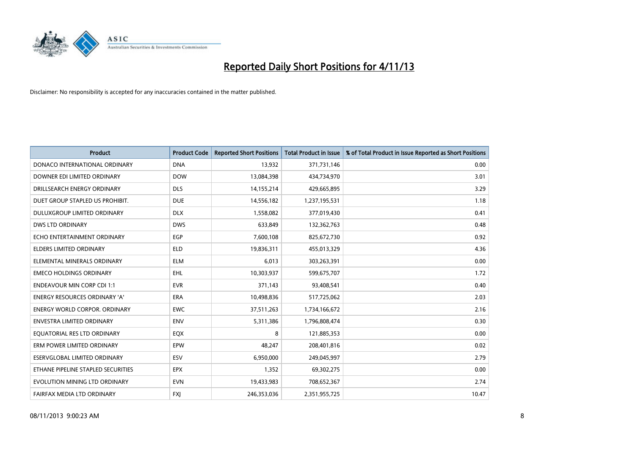

| <b>Product</b>                       | <b>Product Code</b> | <b>Reported Short Positions</b> | <b>Total Product in Issue</b> | % of Total Product in Issue Reported as Short Positions |
|--------------------------------------|---------------------|---------------------------------|-------------------------------|---------------------------------------------------------|
| DONACO INTERNATIONAL ORDINARY        | <b>DNA</b>          | 13,932                          | 371,731,146                   | 0.00                                                    |
| DOWNER EDI LIMITED ORDINARY          | <b>DOW</b>          | 13,084,398                      | 434,734,970                   | 3.01                                                    |
| DRILLSEARCH ENERGY ORDINARY          | <b>DLS</b>          | 14,155,214                      | 429,665,895                   | 3.29                                                    |
| DUET GROUP STAPLED US PROHIBIT.      | <b>DUE</b>          | 14,556,182                      | 1,237,195,531                 | 1.18                                                    |
| DULUXGROUP LIMITED ORDINARY          | <b>DLX</b>          | 1,558,082                       | 377,019,430                   | 0.41                                                    |
| <b>DWS LTD ORDINARY</b>              | <b>DWS</b>          | 633,849                         | 132,362,763                   | 0.48                                                    |
| ECHO ENTERTAINMENT ORDINARY          | <b>EGP</b>          | 7,600,108                       | 825,672,730                   | 0.92                                                    |
| <b>ELDERS LIMITED ORDINARY</b>       | <b>ELD</b>          | 19,836,311                      | 455,013,329                   | 4.36                                                    |
| ELEMENTAL MINERALS ORDINARY          | <b>ELM</b>          | 6,013                           | 303,263,391                   | 0.00                                                    |
| <b>EMECO HOLDINGS ORDINARY</b>       | <b>EHL</b>          | 10,303,937                      | 599,675,707                   | 1.72                                                    |
| <b>ENDEAVOUR MIN CORP CDI 1:1</b>    | <b>EVR</b>          | 371,143                         | 93,408,541                    | 0.40                                                    |
| <b>ENERGY RESOURCES ORDINARY 'A'</b> | ERA                 | 10,498,836                      | 517,725,062                   | 2.03                                                    |
| <b>ENERGY WORLD CORPOR, ORDINARY</b> | <b>EWC</b>          | 37,511,263                      | 1,734,166,672                 | 2.16                                                    |
| <b>ENVESTRA LIMITED ORDINARY</b>     | <b>ENV</b>          | 5,311,386                       | 1,796,808,474                 | 0.30                                                    |
| EQUATORIAL RES LTD ORDINARY          | EQX                 | 8                               | 121,885,353                   | 0.00                                                    |
| ERM POWER LIMITED ORDINARY           | EPW                 | 48,247                          | 208,401,816                   | 0.02                                                    |
| ESERVGLOBAL LIMITED ORDINARY         | ESV                 | 6,950,000                       | 249,045,997                   | 2.79                                                    |
| ETHANE PIPELINE STAPLED SECURITIES   | <b>EPX</b>          | 1,352                           | 69,302,275                    | 0.00                                                    |
| EVOLUTION MINING LTD ORDINARY        | <b>EVN</b>          | 19,433,983                      | 708,652,367                   | 2.74                                                    |
| FAIRFAX MEDIA LTD ORDINARY           | <b>FXI</b>          | 246,353,036                     | 2,351,955,725                 | 10.47                                                   |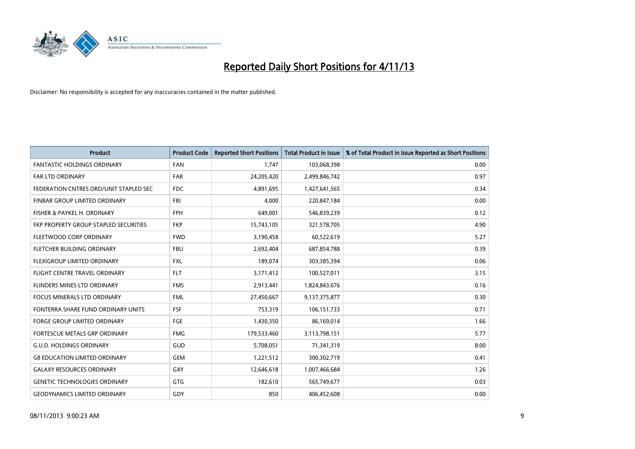

| <b>Product</b>                         | <b>Product Code</b> | <b>Reported Short Positions</b> | <b>Total Product in Issue</b> | % of Total Product in Issue Reported as Short Positions |
|----------------------------------------|---------------------|---------------------------------|-------------------------------|---------------------------------------------------------|
| <b>FANTASTIC HOLDINGS ORDINARY</b>     | <b>FAN</b>          | 1,747                           | 103,068,398                   | 0.00                                                    |
| FAR LTD ORDINARY                       | FAR                 | 24,205,420                      | 2,499,846,742                 | 0.97                                                    |
| FEDERATION CNTRES ORD/UNIT STAPLED SEC | FDC                 | 4,891,695                       | 1,427,641,565                 | 0.34                                                    |
| FINBAR GROUP LIMITED ORDINARY          | <b>FRI</b>          | 4,000                           | 220,847,184                   | 0.00                                                    |
| FISHER & PAYKEL H. ORDINARY            | <b>FPH</b>          | 649,001                         | 546,839,239                   | 0.12                                                    |
| FKP PROPERTY GROUP STAPLED SECURITIES  | <b>FKP</b>          | 15,743,105                      | 321,578,705                   | 4.90                                                    |
| FLEETWOOD CORP ORDINARY                | <b>FWD</b>          | 3,190,458                       | 60,522,619                    | 5.27                                                    |
| FLETCHER BUILDING ORDINARY             | <b>FBU</b>          | 2,692,404                       | 687,854,788                   | 0.39                                                    |
| FLEXIGROUP LIMITED ORDINARY            | <b>FXL</b>          | 189,074                         | 303,385,394                   | 0.06                                                    |
| FLIGHT CENTRE TRAVEL ORDINARY          | <b>FLT</b>          | 3,171,412                       | 100,527,011                   | 3.15                                                    |
| FLINDERS MINES LTD ORDINARY            | <b>FMS</b>          | 2,913,441                       | 1,824,843,676                 | 0.16                                                    |
| <b>FOCUS MINERALS LTD ORDINARY</b>     | <b>FML</b>          | 27,450,667                      | 9,137,375,877                 | 0.30                                                    |
| FONTERRA SHARE FUND ORDINARY UNITS     | <b>FSF</b>          | 753,319                         | 106,151,733                   | 0.71                                                    |
| <b>FORGE GROUP LIMITED ORDINARY</b>    | FGE                 | 1,430,350                       | 86,169,014                    | 1.66                                                    |
| FORTESCUE METALS GRP ORDINARY          | <b>FMG</b>          | 179,533,460                     | 3,113,798,151                 | 5.77                                                    |
| <b>G.U.D. HOLDINGS ORDINARY</b>        | <b>GUD</b>          | 5,708,051                       | 71,341,319                    | 8.00                                                    |
| <b>G8 EDUCATION LIMITED ORDINARY</b>   | <b>GEM</b>          | 1,221,512                       | 300,302,719                   | 0.41                                                    |
| <b>GALAXY RESOURCES ORDINARY</b>       | GXY                 | 12,646,618                      | 1,007,466,684                 | 1.26                                                    |
| <b>GENETIC TECHNOLOGIES ORDINARY</b>   | GTG                 | 182,610                         | 565,749,677                   | 0.03                                                    |
| <b>GEODYNAMICS LIMITED ORDINARY</b>    | GDY                 | 850                             | 406,452,608                   | 0.00                                                    |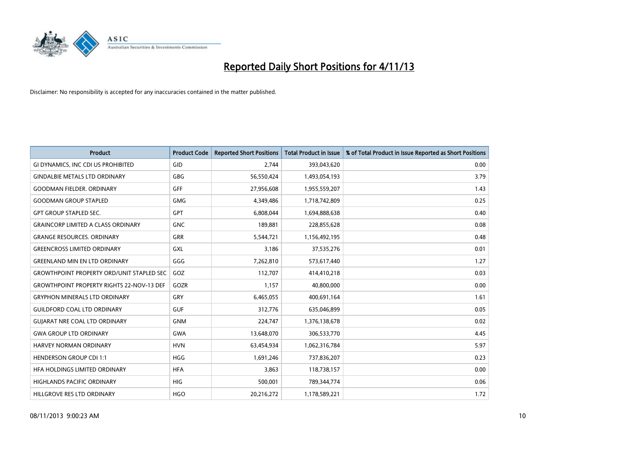

| <b>Product</b>                                   | <b>Product Code</b> | <b>Reported Short Positions</b> | <b>Total Product in Issue</b> | % of Total Product in Issue Reported as Short Positions |
|--------------------------------------------------|---------------------|---------------------------------|-------------------------------|---------------------------------------------------------|
| GI DYNAMICS, INC CDI US PROHIBITED               | GID                 | 2.744                           | 393,043,620                   | 0.00                                                    |
| <b>GINDALBIE METALS LTD ORDINARY</b>             | <b>GBG</b>          | 56,550,424                      | 1,493,054,193                 | 3.79                                                    |
| <b>GOODMAN FIELDER, ORDINARY</b>                 | GFF                 | 27,956,608                      | 1,955,559,207                 | 1.43                                                    |
| <b>GOODMAN GROUP STAPLED</b>                     | <b>GMG</b>          | 4,349,486                       | 1,718,742,809                 | 0.25                                                    |
| <b>GPT GROUP STAPLED SEC.</b>                    | <b>GPT</b>          | 6,808,044                       | 1,694,888,638                 | 0.40                                                    |
| <b>GRAINCORP LIMITED A CLASS ORDINARY</b>        | <b>GNC</b>          | 189,881                         | 228,855,628                   | 0.08                                                    |
| <b>GRANGE RESOURCES, ORDINARY</b>                | GRR                 | 5,544,721                       | 1,156,492,195                 | 0.48                                                    |
| <b>GREENCROSS LIMITED ORDINARY</b>               | GXL                 | 3,186                           | 37,535,276                    | 0.01                                                    |
| <b>GREENLAND MIN EN LTD ORDINARY</b>             | GGG                 | 7,262,810                       | 573,617,440                   | 1.27                                                    |
| <b>GROWTHPOINT PROPERTY ORD/UNIT STAPLED SEC</b> | GOZ                 | 112,707                         | 414,410,218                   | 0.03                                                    |
| <b>GROWTHPOINT PROPERTY RIGHTS 22-NOV-13 DEF</b> | GOZR                | 1,157                           | 40,800,000                    | 0.00                                                    |
| <b>GRYPHON MINERALS LTD ORDINARY</b>             | GRY                 | 6,465,055                       | 400,691,164                   | 1.61                                                    |
| <b>GUILDFORD COAL LTD ORDINARY</b>               | <b>GUF</b>          | 312,776                         | 635,046,899                   | 0.05                                                    |
| <b>GUIARAT NRE COAL LTD ORDINARY</b>             | <b>GNM</b>          | 224,747                         | 1,376,138,678                 | 0.02                                                    |
| <b>GWA GROUP LTD ORDINARY</b>                    | <b>GWA</b>          | 13,648,070                      | 306,533,770                   | 4.45                                                    |
| <b>HARVEY NORMAN ORDINARY</b>                    | <b>HVN</b>          | 63,454,934                      | 1,062,316,784                 | 5.97                                                    |
| <b>HENDERSON GROUP CDI 1:1</b>                   | <b>HGG</b>          | 1,691,246                       | 737,836,207                   | 0.23                                                    |
| HFA HOLDINGS LIMITED ORDINARY                    | <b>HFA</b>          | 3,863                           | 118,738,157                   | 0.00                                                    |
| <b>HIGHLANDS PACIFIC ORDINARY</b>                | <b>HIG</b>          | 500,001                         | 789,344,774                   | 0.06                                                    |
| HILLGROVE RES LTD ORDINARY                       | <b>HGO</b>          | 20,216,272                      | 1,178,589,221                 | 1.72                                                    |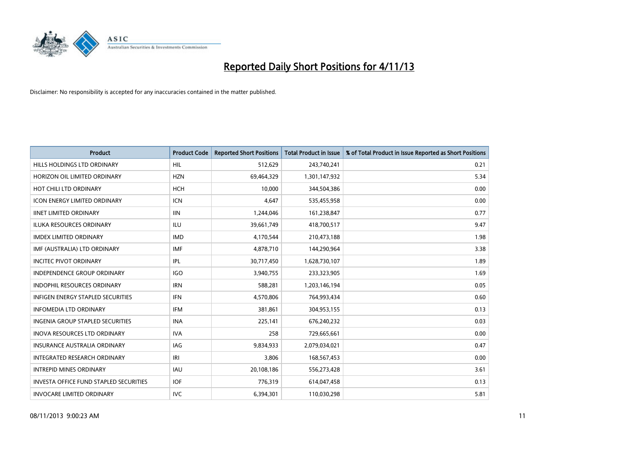

| <b>Product</b>                           | <b>Product Code</b> | <b>Reported Short Positions</b> | <b>Total Product in Issue</b> | % of Total Product in Issue Reported as Short Positions |
|------------------------------------------|---------------------|---------------------------------|-------------------------------|---------------------------------------------------------|
| HILLS HOLDINGS LTD ORDINARY              | HIL                 | 512,629                         | 243,740,241                   | 0.21                                                    |
| HORIZON OIL LIMITED ORDINARY             | <b>HZN</b>          | 69,464,329                      | 1,301,147,932                 | 5.34                                                    |
| HOT CHILI LTD ORDINARY                   | <b>HCH</b>          | 10,000                          | 344,504,386                   | 0.00                                                    |
| <b>ICON ENERGY LIMITED ORDINARY</b>      | <b>ICN</b>          | 4,647                           | 535,455,958                   | 0.00                                                    |
| <b>IINET LIMITED ORDINARY</b>            | <b>IIN</b>          | 1,244,046                       | 161,238,847                   | 0.77                                                    |
| <b>ILUKA RESOURCES ORDINARY</b>          | ILU                 | 39,661,749                      | 418,700,517                   | 9.47                                                    |
| <b>IMDEX LIMITED ORDINARY</b>            | <b>IMD</b>          | 4,170,544                       | 210,473,188                   | 1.98                                                    |
| IMF (AUSTRALIA) LTD ORDINARY             | <b>IMF</b>          | 4,878,710                       | 144,290,964                   | 3.38                                                    |
| <b>INCITEC PIVOT ORDINARY</b>            | IPL                 | 30,717,450                      | 1,628,730,107                 | 1.89                                                    |
| <b>INDEPENDENCE GROUP ORDINARY</b>       | <b>IGO</b>          | 3,940,755                       | 233,323,905                   | 1.69                                                    |
| INDOPHIL RESOURCES ORDINARY              | <b>IRN</b>          | 588,281                         | 1,203,146,194                 | 0.05                                                    |
| <b>INFIGEN ENERGY STAPLED SECURITIES</b> | <b>IFN</b>          | 4,570,806                       | 764,993,434                   | 0.60                                                    |
| <b>INFOMEDIA LTD ORDINARY</b>            | <b>IFM</b>          | 381,861                         | 304,953,155                   | 0.13                                                    |
| <b>INGENIA GROUP STAPLED SECURITIES</b>  | <b>INA</b>          | 225,141                         | 676,240,232                   | 0.03                                                    |
| <b>INOVA RESOURCES LTD ORDINARY</b>      | <b>IVA</b>          | 258                             | 729,665,661                   | 0.00                                                    |
| <b>INSURANCE AUSTRALIA ORDINARY</b>      | IAG                 | 9,834,933                       | 2,079,034,021                 | 0.47                                                    |
| INTEGRATED RESEARCH ORDINARY             | IRI                 | 3,806                           | 168,567,453                   | 0.00                                                    |
| <b>INTREPID MINES ORDINARY</b>           | <b>IAU</b>          | 20,108,186                      | 556,273,428                   | 3.61                                                    |
| INVESTA OFFICE FUND STAPLED SECURITIES   | <b>IOF</b>          | 776,319                         | 614,047,458                   | 0.13                                                    |
| <b>INVOCARE LIMITED ORDINARY</b>         | IVC                 | 6,394,301                       | 110,030,298                   | 5.81                                                    |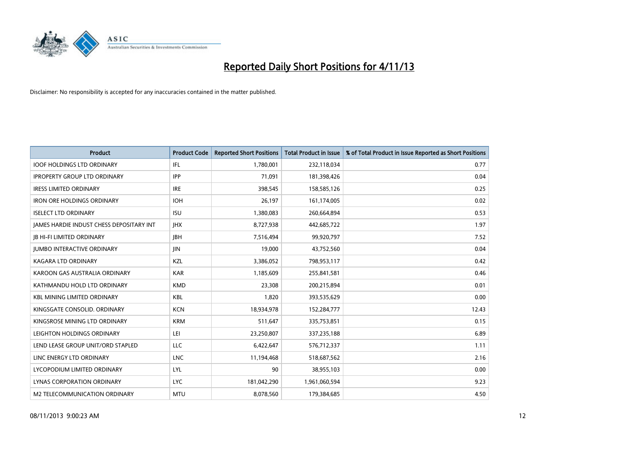

| <b>Product</b>                           | <b>Product Code</b> | <b>Reported Short Positions</b> | <b>Total Product in Issue</b> | % of Total Product in Issue Reported as Short Positions |
|------------------------------------------|---------------------|---------------------------------|-------------------------------|---------------------------------------------------------|
| <b>IOOF HOLDINGS LTD ORDINARY</b>        | IFL                 | 1,780,001                       | 232,118,034                   | 0.77                                                    |
| <b>IPROPERTY GROUP LTD ORDINARY</b>      | <b>IPP</b>          | 71,091                          | 181,398,426                   | 0.04                                                    |
| <b>IRESS LIMITED ORDINARY</b>            | <b>IRE</b>          | 398,545                         | 158,585,126                   | 0.25                                                    |
| IRON ORE HOLDINGS ORDINARY               | <b>IOH</b>          | 26,197                          | 161,174,005                   | 0.02                                                    |
| <b>ISELECT LTD ORDINARY</b>              | <b>ISU</b>          | 1,380,083                       | 260,664,894                   | 0.53                                                    |
| JAMES HARDIE INDUST CHESS DEPOSITARY INT | <b>IHX</b>          | 8,727,938                       | 442,685,722                   | 1.97                                                    |
| <b>JB HI-FI LIMITED ORDINARY</b>         | <b>IBH</b>          | 7,516,494                       | 99,920,797                    | 7.52                                                    |
| <b>JUMBO INTERACTIVE ORDINARY</b>        | <b>JIN</b>          | 19,000                          | 43,752,560                    | 0.04                                                    |
| <b>KAGARA LTD ORDINARY</b>               | KZL                 | 3,386,052                       | 798,953,117                   | 0.42                                                    |
| KAROON GAS AUSTRALIA ORDINARY            | <b>KAR</b>          | 1,185,609                       | 255,841,581                   | 0.46                                                    |
| KATHMANDU HOLD LTD ORDINARY              | <b>KMD</b>          | 23,308                          | 200,215,894                   | 0.01                                                    |
| <b>KBL MINING LIMITED ORDINARY</b>       | <b>KBL</b>          | 1,820                           | 393,535,629                   | 0.00                                                    |
| KINGSGATE CONSOLID. ORDINARY             | <b>KCN</b>          | 18,934,978                      | 152,284,777                   | 12.43                                                   |
| KINGSROSE MINING LTD ORDINARY            | <b>KRM</b>          | 511,647                         | 335,753,851                   | 0.15                                                    |
| LEIGHTON HOLDINGS ORDINARY               | LEI                 | 23,250,807                      | 337,235,188                   | 6.89                                                    |
| LEND LEASE GROUP UNIT/ORD STAPLED        | LLC                 | 6,422,647                       | 576,712,337                   | 1.11                                                    |
| LINC ENERGY LTD ORDINARY                 | <b>LNC</b>          | 11,194,468                      | 518,687,562                   | 2.16                                                    |
| LYCOPODIUM LIMITED ORDINARY              | <b>LYL</b>          | 90                              | 38,955,103                    | 0.00                                                    |
| LYNAS CORPORATION ORDINARY               | <b>LYC</b>          | 181,042,290                     | 1,961,060,594                 | 9.23                                                    |
| M2 TELECOMMUNICATION ORDINARY            | <b>MTU</b>          | 8,078,560                       | 179,384,685                   | 4.50                                                    |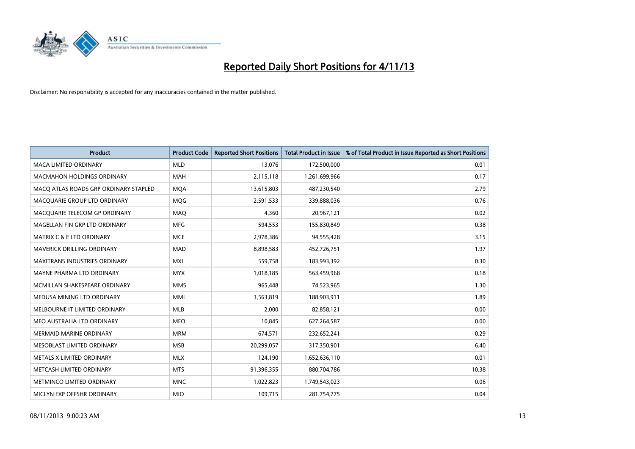

| <b>Product</b>                        | <b>Product Code</b> | <b>Reported Short Positions</b> | <b>Total Product in Issue</b> | % of Total Product in Issue Reported as Short Positions |
|---------------------------------------|---------------------|---------------------------------|-------------------------------|---------------------------------------------------------|
| <b>MACA LIMITED ORDINARY</b>          | <b>MLD</b>          | 13,076                          | 172,500,000                   | 0.01                                                    |
| <b>MACMAHON HOLDINGS ORDINARY</b>     | MAH                 | 2,115,118                       | 1,261,699,966                 | 0.17                                                    |
| MACO ATLAS ROADS GRP ORDINARY STAPLED | <b>MOA</b>          | 13,615,803                      | 487,230,540                   | 2.79                                                    |
| MACQUARIE GROUP LTD ORDINARY          | <b>MQG</b>          | 2,591,533                       | 339,888,036                   | 0.76                                                    |
| MACQUARIE TELECOM GP ORDINARY         | <b>MAQ</b>          | 4,360                           | 20,967,121                    | 0.02                                                    |
| MAGELLAN FIN GRP LTD ORDINARY         | <b>MFG</b>          | 594,553                         | 155,830,849                   | 0.38                                                    |
| <b>MATRIX C &amp; E LTD ORDINARY</b>  | <b>MCE</b>          | 2,978,386                       | 94,555,428                    | 3.15                                                    |
| <b>MAVERICK DRILLING ORDINARY</b>     | <b>MAD</b>          | 8,898,583                       | 452,726,751                   | 1.97                                                    |
| <b>MAXITRANS INDUSTRIES ORDINARY</b>  | <b>MXI</b>          | 559,758                         | 183,993,392                   | 0.30                                                    |
| MAYNE PHARMA LTD ORDINARY             | <b>MYX</b>          | 1,018,185                       | 563,459,968                   | 0.18                                                    |
| MCMILLAN SHAKESPEARE ORDINARY         | <b>MMS</b>          | 965,448                         | 74,523,965                    | 1.30                                                    |
| MEDUSA MINING LTD ORDINARY            | <b>MML</b>          | 3,563,819                       | 188,903,911                   | 1.89                                                    |
| MELBOURNE IT LIMITED ORDINARY         | <b>MLB</b>          | 2,000                           | 82,858,121                    | 0.00                                                    |
| MEO AUSTRALIA LTD ORDINARY            | <b>MEO</b>          | 10,845                          | 627,264,587                   | 0.00                                                    |
| <b>MERMAID MARINE ORDINARY</b>        | <b>MRM</b>          | 674,571                         | 232,652,241                   | 0.29                                                    |
| MESOBLAST LIMITED ORDINARY            | <b>MSB</b>          | 20,299,057                      | 317,350,901                   | 6.40                                                    |
| METALS X LIMITED ORDINARY             | <b>MLX</b>          | 124,190                         | 1,652,636,110                 | 0.01                                                    |
| METCASH LIMITED ORDINARY              | <b>MTS</b>          | 91,396,355                      | 880,704,786                   | 10.38                                                   |
| METMINCO LIMITED ORDINARY             | <b>MNC</b>          | 1,022,823                       | 1,749,543,023                 | 0.06                                                    |
| MICLYN EXP OFFSHR ORDINARY            | <b>MIO</b>          | 109,715                         | 281,754,775                   | 0.04                                                    |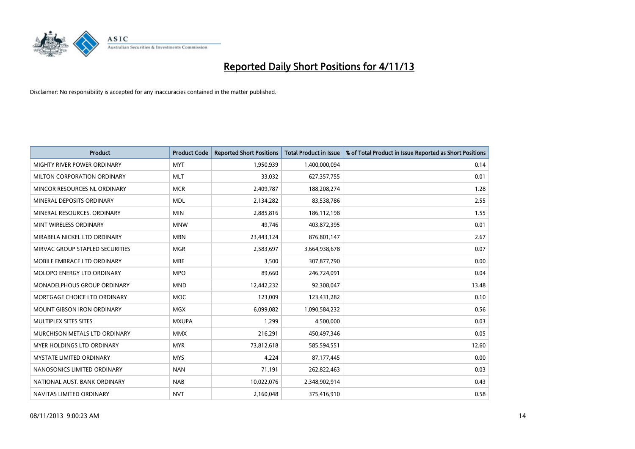

| <b>Product</b>                    | <b>Product Code</b> | <b>Reported Short Positions</b> | <b>Total Product in Issue</b> | % of Total Product in Issue Reported as Short Positions |
|-----------------------------------|---------------------|---------------------------------|-------------------------------|---------------------------------------------------------|
| MIGHTY RIVER POWER ORDINARY       | <b>MYT</b>          | 1,950,939                       | 1,400,000,094                 | 0.14                                                    |
| MILTON CORPORATION ORDINARY       | <b>MLT</b>          | 33,032                          | 627,357,755                   | 0.01                                                    |
| MINCOR RESOURCES NL ORDINARY      | <b>MCR</b>          | 2,409,787                       | 188,208,274                   | 1.28                                                    |
| MINERAL DEPOSITS ORDINARY         | <b>MDL</b>          | 2,134,282                       | 83,538,786                    | 2.55                                                    |
| MINERAL RESOURCES, ORDINARY       | <b>MIN</b>          | 2,885,816                       | 186,112,198                   | 1.55                                                    |
| MINT WIRELESS ORDINARY            | <b>MNW</b>          | 49,746                          | 403,872,395                   | 0.01                                                    |
| MIRABELA NICKEL LTD ORDINARY      | <b>MBN</b>          | 23,443,124                      | 876,801,147                   | 2.67                                                    |
| MIRVAC GROUP STAPLED SECURITIES   | <b>MGR</b>          | 2,583,697                       | 3,664,938,678                 | 0.07                                                    |
| MOBILE EMBRACE LTD ORDINARY       | <b>MBE</b>          | 3,500                           | 307,877,790                   | 0.00                                                    |
| MOLOPO ENERGY LTD ORDINARY        | <b>MPO</b>          | 89,660                          | 246,724,091                   | 0.04                                                    |
| MONADELPHOUS GROUP ORDINARY       | <b>MND</b>          | 12,442,232                      | 92,308,047                    | 13.48                                                   |
| MORTGAGE CHOICE LTD ORDINARY      | <b>MOC</b>          | 123,009                         | 123,431,282                   | 0.10                                                    |
| <b>MOUNT GIBSON IRON ORDINARY</b> | <b>MGX</b>          | 6,099,082                       | 1,090,584,232                 | 0.56                                                    |
| MULTIPLEX SITES SITES             | <b>MXUPA</b>        | 1,299                           | 4,500,000                     | 0.03                                                    |
| MURCHISON METALS LTD ORDINARY     | <b>MMX</b>          | 216,291                         | 450,497,346                   | 0.05                                                    |
| MYER HOLDINGS LTD ORDINARY        | <b>MYR</b>          | 73,812,618                      | 585,594,551                   | 12.60                                                   |
| MYSTATE LIMITED ORDINARY          | <b>MYS</b>          | 4,224                           | 87,177,445                    | 0.00                                                    |
| NANOSONICS LIMITED ORDINARY       | <b>NAN</b>          | 71,191                          | 262,822,463                   | 0.03                                                    |
| NATIONAL AUST. BANK ORDINARY      | <b>NAB</b>          | 10,022,076                      | 2,348,902,914                 | 0.43                                                    |
| NAVITAS LIMITED ORDINARY          | <b>NVT</b>          | 2,160,048                       | 375,416,910                   | 0.58                                                    |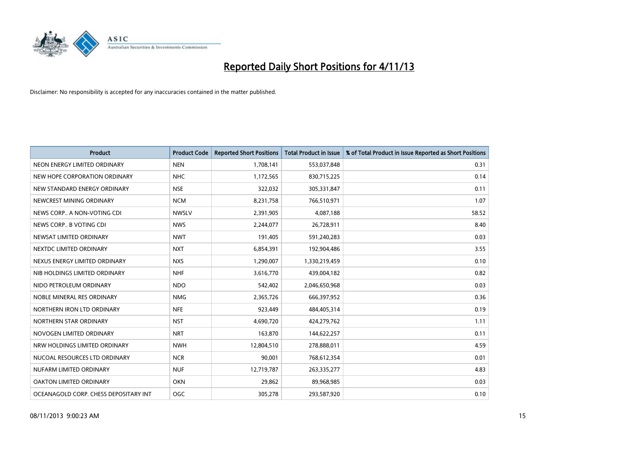

| <b>Product</b>                        | <b>Product Code</b> | <b>Reported Short Positions</b> | <b>Total Product in Issue</b> | % of Total Product in Issue Reported as Short Positions |
|---------------------------------------|---------------------|---------------------------------|-------------------------------|---------------------------------------------------------|
| NEON ENERGY LIMITED ORDINARY          | <b>NEN</b>          | 1,708,141                       | 553,037,848                   | 0.31                                                    |
| NEW HOPE CORPORATION ORDINARY         | <b>NHC</b>          | 1,172,565                       | 830,715,225                   | 0.14                                                    |
| NEW STANDARD ENERGY ORDINARY          | <b>NSE</b>          | 322,032                         | 305,331,847                   | 0.11                                                    |
| NEWCREST MINING ORDINARY              | <b>NCM</b>          | 8,231,758                       | 766,510,971                   | 1.07                                                    |
| NEWS CORP A NON-VOTING CDI            | <b>NWSLV</b>        | 2,391,905                       | 4,087,188                     | 58.52                                                   |
| NEWS CORP B VOTING CDI                | <b>NWS</b>          | 2,244,077                       | 26,728,911                    | 8.40                                                    |
| NEWSAT LIMITED ORDINARY               | <b>NWT</b>          | 191,405                         | 591,240,283                   | 0.03                                                    |
| NEXTDC LIMITED ORDINARY               | <b>NXT</b>          | 6,854,391                       | 192,904,486                   | 3.55                                                    |
| NEXUS ENERGY LIMITED ORDINARY         | <b>NXS</b>          | 1,290,007                       | 1,330,219,459                 | 0.10                                                    |
| NIB HOLDINGS LIMITED ORDINARY         | <b>NHF</b>          | 3,616,770                       | 439,004,182                   | 0.82                                                    |
| NIDO PETROLEUM ORDINARY               | <b>NDO</b>          | 542,402                         | 2,046,650,968                 | 0.03                                                    |
| NOBLE MINERAL RES ORDINARY            | <b>NMG</b>          | 2,365,726                       | 666,397,952                   | 0.36                                                    |
| NORTHERN IRON LTD ORDINARY            | <b>NFE</b>          | 923,449                         | 484,405,314                   | 0.19                                                    |
| NORTHERN STAR ORDINARY                | <b>NST</b>          | 4,690,720                       | 424,279,762                   | 1.11                                                    |
| NOVOGEN LIMITED ORDINARY              | <b>NRT</b>          | 163,870                         | 144,622,257                   | 0.11                                                    |
| NRW HOLDINGS LIMITED ORDINARY         | <b>NWH</b>          | 12,804,510                      | 278,888,011                   | 4.59                                                    |
| NUCOAL RESOURCES LTD ORDINARY         | <b>NCR</b>          | 90,001                          | 768,612,354                   | 0.01                                                    |
| NUFARM LIMITED ORDINARY               | <b>NUF</b>          | 12,719,787                      | 263,335,277                   | 4.83                                                    |
| OAKTON LIMITED ORDINARY               | <b>OKN</b>          | 29,862                          | 89,968,985                    | 0.03                                                    |
| OCEANAGOLD CORP. CHESS DEPOSITARY INT | OGC                 | 305,278                         | 293,587,920                   | 0.10                                                    |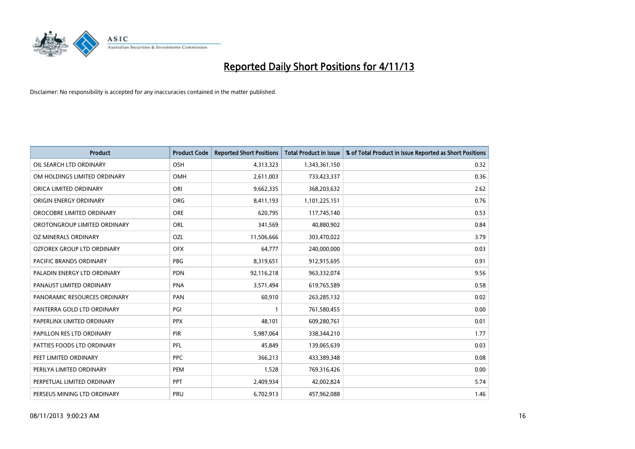

| <b>Product</b>                 | <b>Product Code</b> | <b>Reported Short Positions</b> | <b>Total Product in Issue</b> | % of Total Product in Issue Reported as Short Positions |
|--------------------------------|---------------------|---------------------------------|-------------------------------|---------------------------------------------------------|
| OIL SEARCH LTD ORDINARY        | OSH                 | 4,313,323                       | 1,343,361,150                 | 0.32                                                    |
| OM HOLDINGS LIMITED ORDINARY   | OMH                 | 2,611,003                       | 733,423,337                   | 0.36                                                    |
| ORICA LIMITED ORDINARY         | ORI                 | 9,662,335                       | 368,203,632                   | 2.62                                                    |
| ORIGIN ENERGY ORDINARY         | <b>ORG</b>          | 8,411,193                       | 1,101,225,151                 | 0.76                                                    |
| OROCOBRE LIMITED ORDINARY      | <b>ORE</b>          | 620,795                         | 117,745,140                   | 0.53                                                    |
| OROTONGROUP LIMITED ORDINARY   | ORL                 | 341,569                         | 40,880,902                    | 0.84                                                    |
| OZ MINERALS ORDINARY           | OZL                 | 11,506,666                      | 303,470,022                   | 3.79                                                    |
| OZFOREX GROUP LTD ORDINARY     | <b>OFX</b>          | 64,777                          | 240,000,000                   | 0.03                                                    |
| <b>PACIFIC BRANDS ORDINARY</b> | <b>PBG</b>          | 8,319,651                       | 912,915,695                   | 0.91                                                    |
| PALADIN ENERGY LTD ORDINARY    | <b>PDN</b>          | 92,116,218                      | 963,332,074                   | 9.56                                                    |
| PANAUST LIMITED ORDINARY       | <b>PNA</b>          | 3,571,494                       | 619,765,589                   | 0.58                                                    |
| PANORAMIC RESOURCES ORDINARY   | PAN                 | 60,910                          | 263,285,132                   | 0.02                                                    |
| PANTERRA GOLD LTD ORDINARY     | PGI                 | $\mathbf{1}$                    | 761,580,455                   | 0.00                                                    |
| PAPERLINX LIMITED ORDINARY     | <b>PPX</b>          | 48,101                          | 609,280,761                   | 0.01                                                    |
| PAPILLON RES LTD ORDINARY      | PIR                 | 5,987,064                       | 338,344,210                   | 1.77                                                    |
| PATTIES FOODS LTD ORDINARY     | PFL                 | 45,849                          | 139,065,639                   | 0.03                                                    |
| PEET LIMITED ORDINARY          | <b>PPC</b>          | 366,213                         | 433,389,348                   | 0.08                                                    |
| PERILYA LIMITED ORDINARY       | <b>PEM</b>          | 1,528                           | 769,316,426                   | 0.00                                                    |
| PERPETUAL LIMITED ORDINARY     | <b>PPT</b>          | 2,409,934                       | 42,002,824                    | 5.74                                                    |
| PERSEUS MINING LTD ORDINARY    | PRU                 | 6,702,913                       | 457,962,088                   | 1.46                                                    |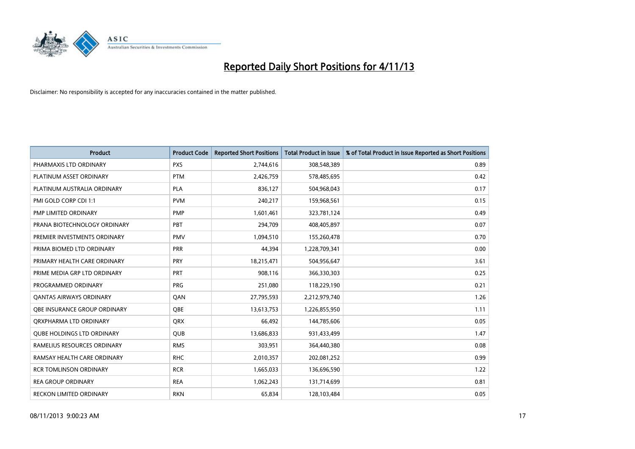

| <b>Product</b>                    | <b>Product Code</b> | <b>Reported Short Positions</b> | <b>Total Product in Issue</b> | % of Total Product in Issue Reported as Short Positions |
|-----------------------------------|---------------------|---------------------------------|-------------------------------|---------------------------------------------------------|
| PHARMAXIS LTD ORDINARY            | <b>PXS</b>          | 2,744,616                       | 308,548,389                   | 0.89                                                    |
| PLATINUM ASSET ORDINARY           | <b>PTM</b>          | 2,426,759                       | 578,485,695                   | 0.42                                                    |
| PLATINUM AUSTRALIA ORDINARY       | <b>PLA</b>          | 836,127                         | 504,968,043                   | 0.17                                                    |
| PMI GOLD CORP CDI 1:1             | <b>PVM</b>          | 240,217                         | 159,968,561                   | 0.15                                                    |
| PMP LIMITED ORDINARY              | <b>PMP</b>          | 1,601,461                       | 323,781,124                   | 0.49                                                    |
| PRANA BIOTECHNOLOGY ORDINARY      | PBT                 | 294,709                         | 408,405,897                   | 0.07                                                    |
| PREMIER INVESTMENTS ORDINARY      | <b>PMV</b>          | 1,094,510                       | 155,260,478                   | 0.70                                                    |
| PRIMA BIOMED LTD ORDINARY         | <b>PRR</b>          | 44,394                          | 1,228,709,341                 | 0.00                                                    |
| PRIMARY HEALTH CARE ORDINARY      | <b>PRY</b>          | 18,215,471                      | 504,956,647                   | 3.61                                                    |
| PRIME MEDIA GRP LTD ORDINARY      | <b>PRT</b>          | 908,116                         | 366,330,303                   | 0.25                                                    |
| PROGRAMMED ORDINARY               | <b>PRG</b>          | 251,080                         | 118,229,190                   | 0.21                                                    |
| <b>QANTAS AIRWAYS ORDINARY</b>    | QAN                 | 27,795,593                      | 2,212,979,740                 | 1.26                                                    |
| OBE INSURANCE GROUP ORDINARY      | <b>OBE</b>          | 13,613,753                      | 1,226,855,950                 | 1.11                                                    |
| ORXPHARMA LTD ORDINARY            | <b>QRX</b>          | 66,492                          | 144,785,606                   | 0.05                                                    |
| <b>QUBE HOLDINGS LTD ORDINARY</b> | <b>QUB</b>          | 13,686,833                      | 931,433,499                   | 1.47                                                    |
| RAMELIUS RESOURCES ORDINARY       | <b>RMS</b>          | 303,951                         | 364,440,380                   | 0.08                                                    |
| RAMSAY HEALTH CARE ORDINARY       | <b>RHC</b>          | 2,010,357                       | 202,081,252                   | 0.99                                                    |
| <b>RCR TOMLINSON ORDINARY</b>     | <b>RCR</b>          | 1,665,033                       | 136,696,590                   | 1.22                                                    |
| <b>REA GROUP ORDINARY</b>         | <b>REA</b>          | 1,062,243                       | 131,714,699                   | 0.81                                                    |
| RECKON LIMITED ORDINARY           | <b>RKN</b>          | 65,834                          | 128,103,484                   | 0.05                                                    |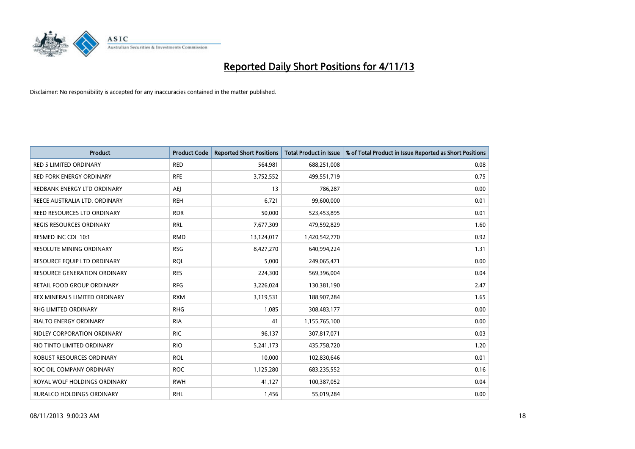

| <b>Product</b>                      | <b>Product Code</b> | <b>Reported Short Positions</b> | <b>Total Product in Issue</b> | % of Total Product in Issue Reported as Short Positions |
|-------------------------------------|---------------------|---------------------------------|-------------------------------|---------------------------------------------------------|
| <b>RED 5 LIMITED ORDINARY</b>       | <b>RED</b>          | 564,981                         | 688,251,008                   | 0.08                                                    |
| <b>RED FORK ENERGY ORDINARY</b>     | <b>RFE</b>          | 3,752,552                       | 499,551,719                   | 0.75                                                    |
| REDBANK ENERGY LTD ORDINARY         | AEJ                 | 13                              | 786,287                       | 0.00                                                    |
| REECE AUSTRALIA LTD. ORDINARY       | <b>REH</b>          | 6,721                           | 99,600,000                    | 0.01                                                    |
| REED RESOURCES LTD ORDINARY         | <b>RDR</b>          | 50,000                          | 523,453,895                   | 0.01                                                    |
| <b>REGIS RESOURCES ORDINARY</b>     | <b>RRL</b>          | 7,677,309                       | 479,592,829                   | 1.60                                                    |
| RESMED INC CDI 10:1                 | <b>RMD</b>          | 13,124,017                      | 1,420,542,770                 | 0.92                                                    |
| RESOLUTE MINING ORDINARY            | <b>RSG</b>          | 8,427,270                       | 640,994,224                   | 1.31                                                    |
| RESOURCE EQUIP LTD ORDINARY         | <b>RQL</b>          | 5,000                           | 249,065,471                   | 0.00                                                    |
| <b>RESOURCE GENERATION ORDINARY</b> | <b>RES</b>          | 224,300                         | 569,396,004                   | 0.04                                                    |
| RETAIL FOOD GROUP ORDINARY          | <b>RFG</b>          | 3,226,024                       | 130,381,190                   | 2.47                                                    |
| REX MINERALS LIMITED ORDINARY       | <b>RXM</b>          | 3,119,531                       | 188,907,284                   | 1.65                                                    |
| RHG LIMITED ORDINARY                | <b>RHG</b>          | 1,085                           | 308,483,177                   | 0.00                                                    |
| <b>RIALTO ENERGY ORDINARY</b>       | <b>RIA</b>          | 41                              | 1,155,765,100                 | 0.00                                                    |
| <b>RIDLEY CORPORATION ORDINARY</b>  | <b>RIC</b>          | 96,137                          | 307,817,071                   | 0.03                                                    |
| RIO TINTO LIMITED ORDINARY          | <b>RIO</b>          | 5,241,173                       | 435,758,720                   | 1.20                                                    |
| ROBUST RESOURCES ORDINARY           | <b>ROL</b>          | 10,000                          | 102,830,646                   | 0.01                                                    |
| ROC OIL COMPANY ORDINARY            | <b>ROC</b>          | 1,125,280                       | 683,235,552                   | 0.16                                                    |
| ROYAL WOLF HOLDINGS ORDINARY        | <b>RWH</b>          | 41,127                          | 100,387,052                   | 0.04                                                    |
| RURALCO HOLDINGS ORDINARY           | <b>RHL</b>          | 1,456                           | 55,019,284                    | 0.00                                                    |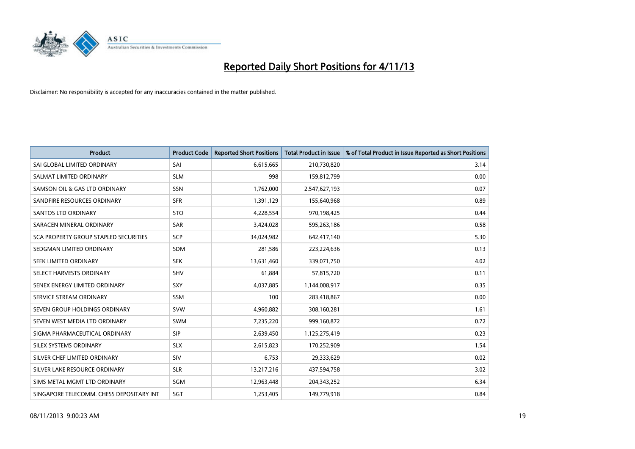

| <b>Product</b>                           | <b>Product Code</b> | <b>Reported Short Positions</b> | <b>Total Product in Issue</b> | % of Total Product in Issue Reported as Short Positions |
|------------------------------------------|---------------------|---------------------------------|-------------------------------|---------------------------------------------------------|
| SAI GLOBAL LIMITED ORDINARY              | SAI                 | 6,615,665                       | 210,730,820                   | 3.14                                                    |
| SALMAT LIMITED ORDINARY                  | <b>SLM</b>          | 998                             | 159,812,799                   | 0.00                                                    |
| SAMSON OIL & GAS LTD ORDINARY            | SSN                 | 1,762,000                       | 2,547,627,193                 | 0.07                                                    |
| SANDFIRE RESOURCES ORDINARY              | <b>SFR</b>          | 1,391,129                       | 155,640,968                   | 0.89                                                    |
| <b>SANTOS LTD ORDINARY</b>               | <b>STO</b>          | 4,228,554                       | 970,198,425                   | 0.44                                                    |
| SARACEN MINERAL ORDINARY                 | SAR                 | 3,424,028                       | 595,263,186                   | 0.58                                                    |
| SCA PROPERTY GROUP STAPLED SECURITIES    | <b>SCP</b>          | 34,024,982                      | 642,417,140                   | 5.30                                                    |
| SEDGMAN LIMITED ORDINARY                 | SDM                 | 281,586                         | 223,224,636                   | 0.13                                                    |
| SEEK LIMITED ORDINARY                    | <b>SEK</b>          | 13,631,460                      | 339,071,750                   | 4.02                                                    |
| SELECT HARVESTS ORDINARY                 | SHV                 | 61,884                          | 57,815,720                    | 0.11                                                    |
| SENEX ENERGY LIMITED ORDINARY            | <b>SXY</b>          | 4,037,885                       | 1,144,008,917                 | 0.35                                                    |
| SERVICE STREAM ORDINARY                  | SSM                 | 100                             | 283,418,867                   | 0.00                                                    |
| SEVEN GROUP HOLDINGS ORDINARY            | <b>SVW</b>          | 4,960,882                       | 308,160,281                   | 1.61                                                    |
| SEVEN WEST MEDIA LTD ORDINARY            | <b>SWM</b>          | 7,235,220                       | 999,160,872                   | 0.72                                                    |
| SIGMA PHARMACEUTICAL ORDINARY            | <b>SIP</b>          | 2,639,450                       | 1,125,275,419                 | 0.23                                                    |
| SILEX SYSTEMS ORDINARY                   | <b>SLX</b>          | 2,615,823                       | 170,252,909                   | 1.54                                                    |
| SILVER CHEF LIMITED ORDINARY             | SIV                 | 6,753                           | 29,333,629                    | 0.02                                                    |
| SILVER LAKE RESOURCE ORDINARY            | <b>SLR</b>          | 13,217,216                      | 437,594,758                   | 3.02                                                    |
| SIMS METAL MGMT LTD ORDINARY             | SGM                 | 12,963,448                      | 204,343,252                   | 6.34                                                    |
| SINGAPORE TELECOMM. CHESS DEPOSITARY INT | <b>SGT</b>          | 1,253,405                       | 149,779,918                   | 0.84                                                    |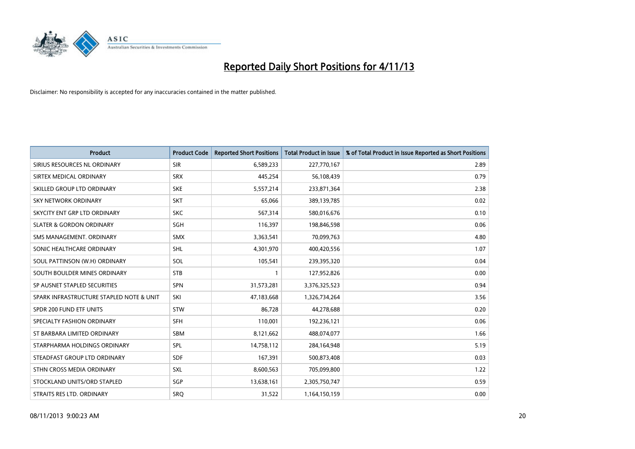

| <b>Product</b>                           | <b>Product Code</b> | <b>Reported Short Positions</b> | <b>Total Product in Issue</b> | % of Total Product in Issue Reported as Short Positions |
|------------------------------------------|---------------------|---------------------------------|-------------------------------|---------------------------------------------------------|
| SIRIUS RESOURCES NL ORDINARY             | <b>SIR</b>          | 6,589,233                       | 227,770,167                   | 2.89                                                    |
| SIRTEX MEDICAL ORDINARY                  | <b>SRX</b>          | 445,254                         | 56,108,439                    | 0.79                                                    |
| SKILLED GROUP LTD ORDINARY               | <b>SKE</b>          | 5,557,214                       | 233,871,364                   | 2.38                                                    |
| <b>SKY NETWORK ORDINARY</b>              | <b>SKT</b>          | 65,066                          | 389,139,785                   | 0.02                                                    |
| SKYCITY ENT GRP LTD ORDINARY             | <b>SKC</b>          | 567,314                         | 580,016,676                   | 0.10                                                    |
| <b>SLATER &amp; GORDON ORDINARY</b>      | SGH                 | 116,397                         | 198,846,598                   | 0.06                                                    |
| SMS MANAGEMENT, ORDINARY                 | <b>SMX</b>          | 3,363,541                       | 70,099,763                    | 4.80                                                    |
| SONIC HEALTHCARE ORDINARY                | <b>SHL</b>          | 4,301,970                       | 400,420,556                   | 1.07                                                    |
| SOUL PATTINSON (W.H) ORDINARY            | SOL                 | 105,541                         | 239,395,320                   | 0.04                                                    |
| SOUTH BOULDER MINES ORDINARY             | <b>STB</b>          | 1                               | 127,952,826                   | 0.00                                                    |
| SP AUSNET STAPLED SECURITIES             | <b>SPN</b>          | 31,573,281                      | 3,376,325,523                 | 0.94                                                    |
| SPARK INFRASTRUCTURE STAPLED NOTE & UNIT | SKI                 | 47,183,668                      | 1,326,734,264                 | 3.56                                                    |
| SPDR 200 FUND ETF UNITS                  | <b>STW</b>          | 86,728                          | 44,278,688                    | 0.20                                                    |
| SPECIALTY FASHION ORDINARY               | <b>SFH</b>          | 110,001                         | 192,236,121                   | 0.06                                                    |
| ST BARBARA LIMITED ORDINARY              | SBM                 | 8,121,662                       | 488,074,077                   | 1.66                                                    |
| STARPHARMA HOLDINGS ORDINARY             | SPL                 | 14,758,112                      | 284,164,948                   | 5.19                                                    |
| STEADFAST GROUP LTD ORDINARY             | SDF                 | 167,391                         | 500,873,408                   | 0.03                                                    |
| STHN CROSS MEDIA ORDINARY                | <b>SXL</b>          | 8,600,563                       | 705,099,800                   | 1.22                                                    |
| STOCKLAND UNITS/ORD STAPLED              | SGP                 | 13,638,161                      | 2,305,750,747                 | 0.59                                                    |
| STRAITS RES LTD. ORDINARY                | SRQ                 | 31,522                          | 1,164,150,159                 | 0.00                                                    |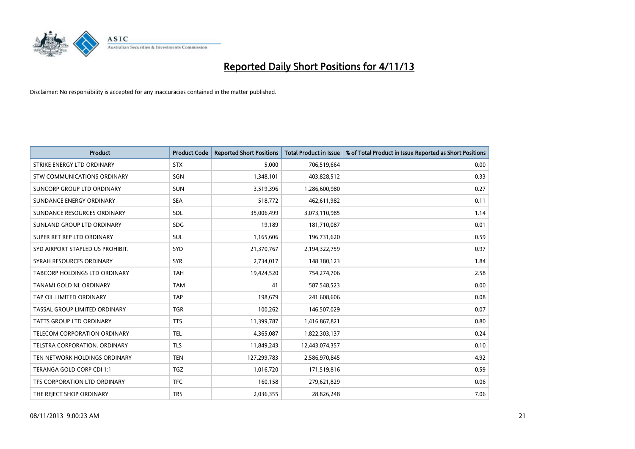

| <b>Product</b>                   | <b>Product Code</b> | <b>Reported Short Positions</b> | <b>Total Product in Issue</b> | % of Total Product in Issue Reported as Short Positions |
|----------------------------------|---------------------|---------------------------------|-------------------------------|---------------------------------------------------------|
| STRIKE ENERGY LTD ORDINARY       | <b>STX</b>          | 5,000                           | 706,519,664                   | 0.00                                                    |
| STW COMMUNICATIONS ORDINARY      | SGN                 | 1,348,101                       | 403,828,512                   | 0.33                                                    |
| SUNCORP GROUP LTD ORDINARY       | <b>SUN</b>          | 3,519,396                       | 1,286,600,980                 | 0.27                                                    |
| SUNDANCE ENERGY ORDINARY         | <b>SEA</b>          | 518,772                         | 462,611,982                   | 0.11                                                    |
| SUNDANCE RESOURCES ORDINARY      | SDL                 | 35,006,499                      | 3,073,110,985                 | 1.14                                                    |
| SUNLAND GROUP LTD ORDINARY       | <b>SDG</b>          | 19,189                          | 181,710,087                   | 0.01                                                    |
| SUPER RET REP LTD ORDINARY       | <b>SUL</b>          | 1,165,606                       | 196,731,620                   | 0.59                                                    |
| SYD AIRPORT STAPLED US PROHIBIT. | <b>SYD</b>          | 21,370,767                      | 2,194,322,759                 | 0.97                                                    |
| SYRAH RESOURCES ORDINARY         | <b>SYR</b>          | 2,734,017                       | 148,380,123                   | 1.84                                                    |
| TABCORP HOLDINGS LTD ORDINARY    | <b>TAH</b>          | 19,424,520                      | 754,274,706                   | 2.58                                                    |
| TANAMI GOLD NL ORDINARY          | <b>TAM</b>          | 41                              | 587,548,523                   | 0.00                                                    |
| TAP OIL LIMITED ORDINARY         | <b>TAP</b>          | 198,679                         | 241,608,606                   | 0.08                                                    |
| TASSAL GROUP LIMITED ORDINARY    | <b>TGR</b>          | 100,262                         | 146,507,029                   | 0.07                                                    |
| <b>TATTS GROUP LTD ORDINARY</b>  | <b>TTS</b>          | 11,399,787                      | 1,416,867,821                 | 0.80                                                    |
| TELECOM CORPORATION ORDINARY     | <b>TEL</b>          | 4,365,087                       | 1,822,303,137                 | 0.24                                                    |
| TELSTRA CORPORATION. ORDINARY    | <b>TLS</b>          | 11,849,243                      | 12,443,074,357                | 0.10                                                    |
| TEN NETWORK HOLDINGS ORDINARY    | <b>TEN</b>          | 127,299,783                     | 2,586,970,845                 | 4.92                                                    |
| TERANGA GOLD CORP CDI 1:1        | <b>TGZ</b>          | 1,016,720                       | 171,519,816                   | 0.59                                                    |
| TFS CORPORATION LTD ORDINARY     | <b>TFC</b>          | 160,158                         | 279,621,829                   | 0.06                                                    |
| THE REJECT SHOP ORDINARY         | <b>TRS</b>          | 2,036,355                       | 28,826,248                    | 7.06                                                    |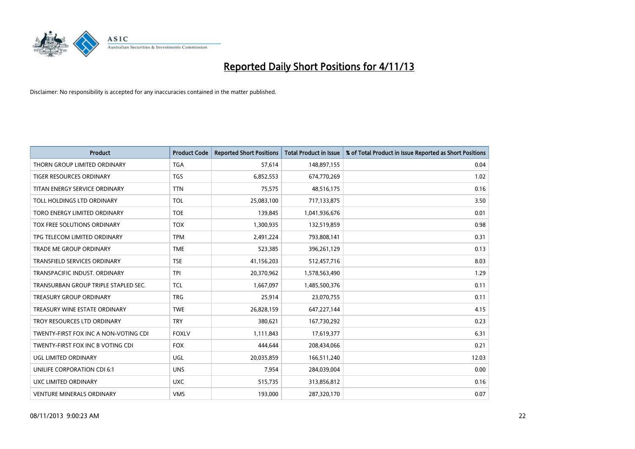

| <b>Product</b>                        | <b>Product Code</b> | <b>Reported Short Positions</b> | <b>Total Product in Issue</b> | % of Total Product in Issue Reported as Short Positions |
|---------------------------------------|---------------------|---------------------------------|-------------------------------|---------------------------------------------------------|
| THORN GROUP LIMITED ORDINARY          | <b>TGA</b>          | 57,614                          | 148,897,155                   | 0.04                                                    |
| TIGER RESOURCES ORDINARY              | <b>TGS</b>          | 6,852,553                       | 674,770,269                   | 1.02                                                    |
| TITAN ENERGY SERVICE ORDINARY         | <b>TTN</b>          | 75,575                          | 48,516,175                    | 0.16                                                    |
| TOLL HOLDINGS LTD ORDINARY            | <b>TOL</b>          | 25,083,100                      | 717,133,875                   | 3.50                                                    |
| TORO ENERGY LIMITED ORDINARY          | <b>TOE</b>          | 139,845                         | 1,041,936,676                 | 0.01                                                    |
| TOX FREE SOLUTIONS ORDINARY           | <b>TOX</b>          | 1,300,935                       | 132,519,859                   | 0.98                                                    |
| TPG TELECOM LIMITED ORDINARY          | <b>TPM</b>          | 2,491,224                       | 793,808,141                   | 0.31                                                    |
| <b>TRADE ME GROUP ORDINARY</b>        | <b>TME</b>          | 523,385                         | 396,261,129                   | 0.13                                                    |
| <b>TRANSFIELD SERVICES ORDINARY</b>   | <b>TSE</b>          | 41,156,203                      | 512,457,716                   | 8.03                                                    |
| TRANSPACIFIC INDUST, ORDINARY         | <b>TPI</b>          | 20,370,962                      | 1,578,563,490                 | 1.29                                                    |
| TRANSURBAN GROUP TRIPLE STAPLED SEC.  | <b>TCL</b>          | 1,667,097                       | 1,485,500,376                 | 0.11                                                    |
| <b>TREASURY GROUP ORDINARY</b>        | <b>TRG</b>          | 25,914                          | 23,070,755                    | 0.11                                                    |
| TREASURY WINE ESTATE ORDINARY         | <b>TWE</b>          | 26,828,159                      | 647,227,144                   | 4.15                                                    |
| TROY RESOURCES LTD ORDINARY           | <b>TRY</b>          | 380,621                         | 167,730,292                   | 0.23                                                    |
| TWENTY-FIRST FOX INC A NON-VOTING CDI | <b>FOXLV</b>        | 1,111,843                       | 17,619,377                    | 6.31                                                    |
| TWENTY-FIRST FOX INC B VOTING CDI     | <b>FOX</b>          | 444,644                         | 208,434,066                   | 0.21                                                    |
| UGL LIMITED ORDINARY                  | UGL                 | 20,035,859                      | 166,511,240                   | 12.03                                                   |
| UNILIFE CORPORATION CDI 6:1           | <b>UNS</b>          | 7,954                           | 284,039,004                   | 0.00                                                    |
| UXC LIMITED ORDINARY                  | <b>UXC</b>          | 515,735                         | 313,856,812                   | 0.16                                                    |
| <b>VENTURE MINERALS ORDINARY</b>      | <b>VMS</b>          | 193,000                         | 287,320,170                   | 0.07                                                    |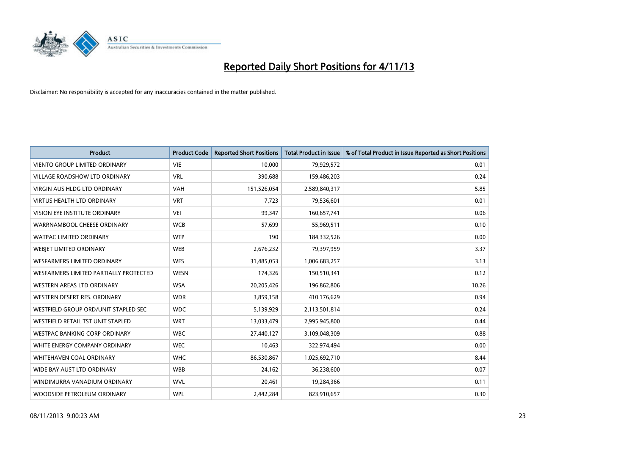

| <b>Product</b>                         | <b>Product Code</b> | <b>Reported Short Positions</b> | <b>Total Product in Issue</b> | % of Total Product in Issue Reported as Short Positions |
|----------------------------------------|---------------------|---------------------------------|-------------------------------|---------------------------------------------------------|
| <b>VIENTO GROUP LIMITED ORDINARY</b>   | <b>VIE</b>          | 10,000                          | 79,929,572                    | 0.01                                                    |
| VILLAGE ROADSHOW LTD ORDINARY          | <b>VRL</b>          | 390,688                         | 159,486,203                   | 0.24                                                    |
| <b>VIRGIN AUS HLDG LTD ORDINARY</b>    | <b>VAH</b>          | 151,526,054                     | 2,589,840,317                 | 5.85                                                    |
| VIRTUS HEALTH LTD ORDINARY             | <b>VRT</b>          | 7,723                           | 79,536,601                    | 0.01                                                    |
| VISION EYE INSTITUTE ORDINARY          | <b>VEI</b>          | 99,347                          | 160,657,741                   | 0.06                                                    |
| WARRNAMBOOL CHEESE ORDINARY            | <b>WCB</b>          | 57,699                          | 55,969,511                    | 0.10                                                    |
| <b>WATPAC LIMITED ORDINARY</b>         | <b>WTP</b>          | 190                             | 184,332,526                   | 0.00                                                    |
| WEBJET LIMITED ORDINARY                | <b>WEB</b>          | 2,676,232                       | 79,397,959                    | 3.37                                                    |
| <b>WESFARMERS LIMITED ORDINARY</b>     | <b>WES</b>          | 31,485,053                      | 1,006,683,257                 | 3.13                                                    |
| WESFARMERS LIMITED PARTIALLY PROTECTED | <b>WESN</b>         | 174,326                         | 150,510,341                   | 0.12                                                    |
| <b>WESTERN AREAS LTD ORDINARY</b>      | <b>WSA</b>          | 20,205,426                      | 196,862,806                   | 10.26                                                   |
| WESTERN DESERT RES. ORDINARY           | <b>WDR</b>          | 3,859,158                       | 410,176,629                   | 0.94                                                    |
| WESTFIELD GROUP ORD/UNIT STAPLED SEC   | <b>WDC</b>          | 5,139,929                       | 2,113,501,814                 | 0.24                                                    |
| WESTFIELD RETAIL TST UNIT STAPLED      | <b>WRT</b>          | 13,033,479                      | 2,995,945,800                 | 0.44                                                    |
| <b>WESTPAC BANKING CORP ORDINARY</b>   | <b>WBC</b>          | 27,440,127                      | 3,109,048,309                 | 0.88                                                    |
| WHITE ENERGY COMPANY ORDINARY          | <b>WEC</b>          | 10,463                          | 322,974,494                   | 0.00                                                    |
| WHITEHAVEN COAL ORDINARY               | <b>WHC</b>          | 86,530,867                      | 1,025,692,710                 | 8.44                                                    |
| WIDE BAY AUST LTD ORDINARY             | <b>WBB</b>          | 24,162                          | 36,238,600                    | 0.07                                                    |
| WINDIMURRA VANADIUM ORDINARY           | <b>WVL</b>          | 20,461                          | 19,284,366                    | 0.11                                                    |
| WOODSIDE PETROLEUM ORDINARY            | <b>WPL</b>          | 2,442,284                       | 823,910,657                   | 0.30                                                    |